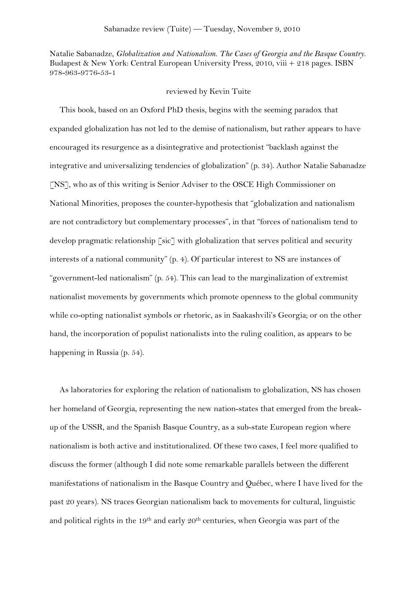Natalie Sabanadze, *Globalization and Nationalism. The Cases of Georgia and the Basque Country.* Budapest & New York: Central European University Press, 2010, viii + 218 pages. ISBN 978-963-9776-53-1

## reviewed by Kevin Tuite

This book, based on an Oxford PhD thesis, begins with the seeming paradox that expanded globalization has not led to the demise of nationalism, but rather appears to have encouraged its resurgence as a disintegrative and protectionist "backlash against the integrative and universalizing tendencies of globalization" (p. 34). Author Natalie Sabanadze [NS], who as of this writing is Senior Adviser to the OSCE High Commissioner on National Minorities, proposes the counter-hypothesis that "globalization and nationalism are not contradictory but complementary processes", in that "forces of nationalism tend to develop pragmatic relationship [sic] with globalization that serves political and security interests of a national community" (p. 4). Of particular interest to NS are instances of "government-led nationalism" (p. 54). This can lead to the marginalization of extremist nationalist movements by governments which promote openness to the global community while co-opting nationalist symbols or rhetoric, as in Saakashvili's Georgia; or on the other hand, the incorporation of populist nationalists into the ruling coalition, as appears to be happening in Russia (p. 54).

As laboratories for exploring the relation of nationalism to globalization, NS has chosen her homeland of Georgia, representing the new nation-states that emerged from the breakup of the USSR, and the Spanish Basque Country, as a sub-state European region where nationalism is both active and institutionalized. Of these two cases, I feel more qualified to discuss the former (although I did note some remarkable parallels between the different manifestations of nationalism in the Basque Country and Québec, where I have lived for the past 20 years). NS traces Georgian nationalism back to movements for cultural, linguistic and political rights in the 19<sup>th</sup> and early 20<sup>th</sup> centuries, when Georgia was part of the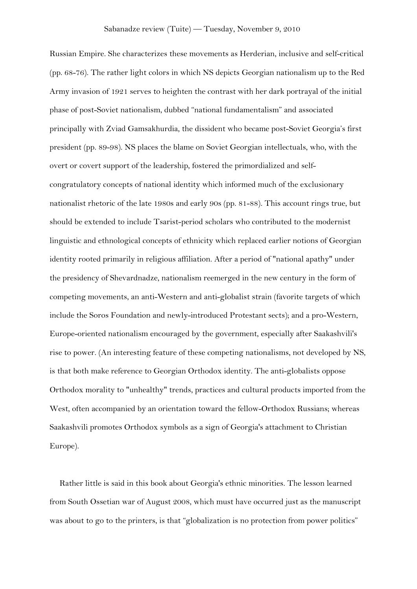Russian Empire. She characterizes these movements as Herderian, inclusive and self-critical (pp. 68-76). The rather light colors in which NS depicts Georgian nationalism up to the Red Army invasion of 1921 serves to heighten the contrast with her dark portrayal of the initial phase of post-Soviet nationalism, dubbed "national fundamentalism" and associated principally with Zviad Gamsakhurdia, the dissident who became post-Soviet Georgia's first president (pp. 89-98). NS places the blame on Soviet Georgian intellectuals, who, with the overt or covert support of the leadership, fostered the primordialized and selfcongratulatory concepts of national identity which informed much of the exclusionary nationalist rhetoric of the late 1980s and early 90s (pp. 81-88). This account rings true, but should be extended to include Tsarist-period scholars who contributed to the modernist linguistic and ethnological concepts of ethnicity which replaced earlier notions of Georgian identity rooted primarily in religious affiliation. After a period of "national apathy" under the presidency of Shevardnadze, nationalism reemerged in the new century in the form of competing movements, an anti-Western and anti-globalist strain (favorite targets of which include the Soros Foundation and newly-introduced Protestant sects); and a pro-Western, Europe-oriented nationalism encouraged by the government, especially after Saakashvili's rise to power. (An interesting feature of these competing nationalisms, not developed by NS, is that both make reference to Georgian Orthodox identity. The anti-globalists oppose Orthodox morality to "unhealthy" trends, practices and cultural products imported from the West, often accompanied by an orientation toward the fellow-Orthodox Russians; whereas Saakashvili promotes Orthodox symbols as a sign of Georgia's attachment to Christian Europe).

Rather little is said in this book about Georgia's ethnic minorities. The lesson learned from South Ossetian war of August 2008, which must have occurred just as the manuscript was about to go to the printers, is that "globalization is no protection from power politics"